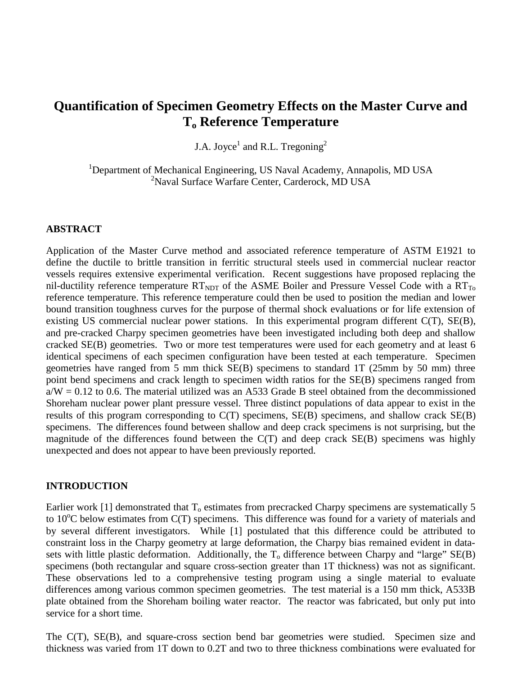# **Quantification of Specimen Geometry Effects on the Master Curve and To Reference Temperature**

J.A. Joyce<sup>1</sup> and R.L. Tregoning<sup>2</sup>

<sup>1</sup>Department of Mechanical Engineering, US Naval Academy, Annapolis, MD USA 2 Naval Surface Warfare Center, Carderock, MD USA

### **ABSTRACT**

Application of the Master Curve method and associated reference temperature of ASTM E1921 to define the ductile to brittle transition in ferritic structural steels used in commercial nuclear reactor vessels requires extensive experimental verification. Recent suggestions have proposed replacing the nil-ductility reference temperature  $RT_{NDT}$  of the ASME Boiler and Pressure Vessel Code with a  $RT_{To}$ reference temperature. This reference temperature could then be used to position the median and lower bound transition toughness curves for the purpose of thermal shock evaluations or for life extension of existing US commercial nuclear power stations. In this experimental program different C(T), SE(B), and pre-cracked Charpy specimen geometries have been investigated including both deep and shallow cracked SE(B) geometries. Two or more test temperatures were used for each geometry and at least 6 identical specimens of each specimen configuration have been tested at each temperature. Specimen geometries have ranged from 5 mm thick SE(B) specimens to standard 1T (25mm by 50 mm) three point bend specimens and crack length to specimen width ratios for the SE(B) specimens ranged from  $a/W = 0.12$  to 0.6. The material utilized was an A533 Grade B steel obtained from the decommissioned Shoreham nuclear power plant pressure vessel. Three distinct populations of data appear to exist in the results of this program corresponding to C(T) specimens, SE(B) specimens, and shallow crack SE(B) specimens. The differences found between shallow and deep crack specimens is not surprising, but the magnitude of the differences found between the  $C(T)$  and deep crack  $SE(B)$  specimens was highly unexpected and does not appear to have been previously reported.

#### **INTRODUCTION**

Earlier work [1] demonstrated that  $T_0$  estimates from precracked Charpy specimens are systematically 5 to 10°C below estimates from C(T) specimens. This difference was found for a variety of materials and by several different investigators. While [1] postulated that this difference could be attributed to constraint loss in the Charpy geometry at large deformation, the Charpy bias remained evident in datasets with little plastic deformation. Additionally, the  $T_0$  difference between Charpy and "large"  $SE(B)$ specimens (both rectangular and square cross-section greater than 1T thickness) was not as significant. These observations led to a comprehensive testing program using a single material to evaluate differences among various common specimen geometries. The test material is a 150 mm thick, A533B plate obtained from the Shoreham boiling water reactor. The reactor was fabricated, but only put into service for a short time.

The C(T), SE(B), and square-cross section bend bar geometries were studied. Specimen size and thickness was varied from 1T down to 0.2T and two to three thickness combinations were evaluated for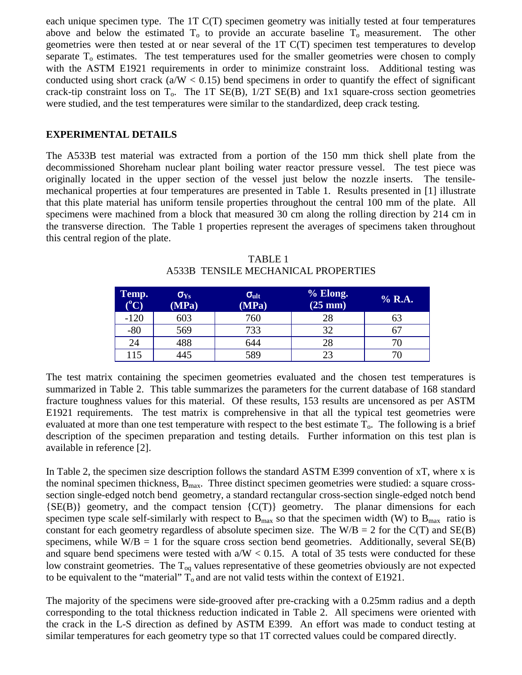each unique specimen type. The 1T C(T) specimen geometry was initially tested at four temperatures above and below the estimated  $T_0$  to provide an accurate baseline  $T_0$  measurement. The other geometries were then tested at or near several of the 1T C(T) specimen test temperatures to develop separate  $T<sub>o</sub>$  estimates. The test temperatures used for the smaller geometries were chosen to comply with the ASTM E1921 requirements in order to minimize constraint loss. Additional testing was conducted using short crack  $(a/W < 0.15)$  bend specimens in order to quantify the effect of significant crack-tip constraint loss on  $T_0$ . The 1T SE(B),  $1/2T$  SE(B) and 1x1 square-cross section geometries were studied, and the test temperatures were similar to the standardized, deep crack testing.

### **EXPERIMENTAL DETAILS**

The A533B test material was extracted from a portion of the 150 mm thick shell plate from the decommissioned Shoreham nuclear plant boiling water reactor pressure vessel. The test piece was originally located in the upper section of the vessel just below the nozzle inserts. The tensilemechanical properties at four temperatures are presented in Table 1. Results presented in [1] illustrate that this plate material has uniform tensile properties throughout the central 100 mm of the plate. All specimens were machined from a block that measured 30 cm along the rolling direction by 214 cm in the transverse direction. The Table 1 properties represent the averages of specimens taken throughout this central region of the plate.

| Temp.<br>$(^{\rm o}C)$ | $\sigma_{\text{Ys}}$<br>(MPa) | $\sigma_{ult}$<br>(MPa) | % Elong.<br>$(25 \text{ mm})$ | % R.A. |
|------------------------|-------------------------------|-------------------------|-------------------------------|--------|
| $-120$                 | 603                           | 760                     | 28                            | ხა     |
| $-80$                  | 569                           | 733                     | 32                            |        |
| 24                     | 488                           | 644                     | 28                            |        |
| 115                    | 445                           | 589                     | 23                            |        |

TABLE 1 A533B TENSILE MECHANICAL PROPERTIES

The test matrix containing the specimen geometries evaluated and the chosen test temperatures is summarized in Table 2. This table summarizes the parameters for the current database of 168 standard fracture toughness values for this material. Of these results, 153 results are uncensored as per ASTM E1921 requirements. The test matrix is comprehensive in that all the typical test geometries were evaluated at more than one test temperature with respect to the best estimate  $T<sub>o</sub>$ . The following is a brief description of the specimen preparation and testing details. Further information on this test plan is available in reference [2].

In Table 2, the specimen size description follows the standard ASTM E399 convention of xT, where x is the nominal specimen thickness,  $B_{\text{max}}$ . Three distinct specimen geometries were studied: a square crosssection single-edged notch bend geometry, a standard rectangular cross-section single-edged notch bend  ${SE(B)}$  geometry, and the compact tension  ${C(T)}$  geometry. The planar dimensions for each specimen type scale self-similarly with respect to  $B_{\text{max}}$  so that the specimen width (W) to  $B_{\text{max}}$  ratio is constant for each geometry regardless of absolute specimen size. The  $W/B = 2$  for the  $C(T)$  and  $SE(B)$ specimens, while  $W/B = 1$  for the square cross section bend geometries. Additionally, several  $SE(B)$ and square bend specimens were tested with  $a/W < 0.15$ . A total of 35 tests were conducted for these low constraint geometries. The  $T_{\text{oq}}$  values representative of these geometries obviously are not expected to be equivalent to the "material"  $T_0$  and are not valid tests within the context of E1921.

The majority of the specimens were side-grooved after pre-cracking with a 0.25mm radius and a depth corresponding to the total thickness reduction indicated in Table 2. All specimens were oriented with the crack in the L-S direction as defined by ASTM E399. An effort was made to conduct testing at similar temperatures for each geometry type so that 1T corrected values could be compared directly.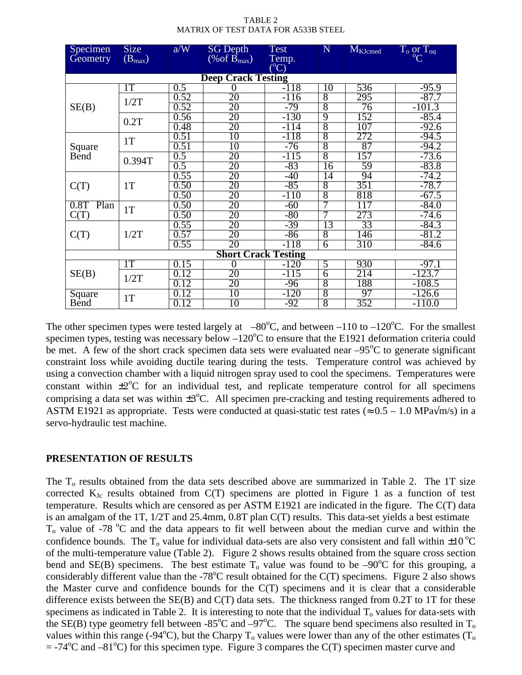| TABLE 2                             |
|-------------------------------------|
| MATRIX OF TEST DATA FOR A533B STEEL |

| Specimen                   | <b>Size</b> | a/W              | <b>SG Depth</b>     | Test      | N               | M <sub>KJcmed</sub> | $T_o\underset{C}{\text{or}}T_{o\alpha}$ |  |  |
|----------------------------|-------------|------------------|---------------------|-----------|-----------------|---------------------|-----------------------------------------|--|--|
| Geometry                   | $(B_{max})$ |                  | $(\%$ of $B_{max})$ | Temp.     |                 |                     |                                         |  |  |
|                            |             |                  |                     | $({}^oC)$ |                 |                     |                                         |  |  |
| <b>Deep Crack Testing</b>  |             |                  |                     |           |                 |                     |                                         |  |  |
| SE(B)                      | 1T          | 0.5              | 0                   | $-118$    | 10              | 536                 | $-95.9$                                 |  |  |
|                            | 1/2T        | 0.52             | 20                  | $-116$    | $\overline{8}$  | 295                 | $-87.7$                                 |  |  |
|                            |             | 0.52             | 20                  | -79       | $\overline{8}$  | 76                  | $-101.3$                                |  |  |
|                            | 0.2T        | 0.56             | 20                  | $-130$    | 9               | 152                 | $-85.4$                                 |  |  |
|                            |             | 0.48             | 20                  | -114      | $\overline{8}$  | 107                 | $-92.6$                                 |  |  |
| Square<br><b>B</b> end     | 1T          | 0.51             | 10                  | -118      | $\overline{8}$  | 272                 | $-94.5$                                 |  |  |
|                            |             | 0.51             | $\overline{10}$     | $-76$     | 8               | 87                  | $-94.2$                                 |  |  |
|                            | 0.394T      | 0.5              | 20                  | $-115$    | $\overline{8}$  | 157                 | $-73.6$                                 |  |  |
|                            |             | 0.5              | 20                  | -83       | 16              | 59                  | $-83.8$                                 |  |  |
| C(T)                       | 1T          | 0.55             | 20                  | -40       | $\overline{14}$ | 94                  | $-74.2$                                 |  |  |
|                            |             | 0.50             | 20                  | $-85$     | $\overline{8}$  | 351                 | $-78.7$                                 |  |  |
|                            |             | 0.50             | 20                  | $-110$    | $\overline{8}$  | 818                 | $-67.5$                                 |  |  |
| 0.8T<br>Plan<br>C(T)       | 1T          | 0.50             | 20                  | $-60$     | 7               | $\overline{117}$    | $-84.0$                                 |  |  |
|                            |             | 0.50             | 20                  | -80       | 7               | 273                 | $-74.6$                                 |  |  |
| C(T)                       | 1/2T        | 0.55             | 20                  | -39       | 13              | 33                  | $-84.3$                                 |  |  |
|                            |             | 0.57             | 20                  | -86       | $\overline{8}$  | 146                 | $-81.2$                                 |  |  |
|                            |             | 0.55             | 20                  | $-118$    | $\overline{6}$  | 310                 | $-84.6$                                 |  |  |
| <b>Short Crack Testing</b> |             |                  |                     |           |                 |                     |                                         |  |  |
| SE(B)                      | 1T          | 0.15             | $\overline{0}$      | $-120$    | $\overline{5}$  | 930                 | $-97.1$                                 |  |  |
|                            | 1/2T        | 12<br>$\Omega$   | 20                  | $-115$    | $\overline{6}$  | 214                 | $-123.7$                                |  |  |
|                            |             | 0.12             | 20                  | $-96$     | $\overline{8}$  | 188                 | $-108.5$                                |  |  |
| Square<br>Bend             | 1T          | 12<br>$\Omega$ . | 10                  | $-120$    | $\overline{8}$  | 97                  | $-126.6$                                |  |  |
|                            |             | 0.12             | 10                  | -92       | 8               | 352                 | $-110.0$                                |  |  |

The other specimen types were tested largely at  $-80^{\circ}$ C, and between  $-110$  to  $-120^{\circ}$ C. For the smallest specimen types, testing was necessary below  $-120^{\circ}$ C to ensure that the E1921 deformation criteria could be met. A few of the short crack specimen data sets were evaluated near  $-95^{\circ}$ C to generate significant constraint loss while avoiding ductile tearing during the tests. Temperature control was achieved by using a convection chamber with a liquid nitrogen spray used to cool the specimens. Temperatures were constant within  $\pm 2^{\circ}$ C for an individual test, and replicate temperature control for all specimens comprising a data set was within  $\pm 3^{\circ}$ C. All specimen pre-cracking and testing requirements adhered to ASTM E1921 as appropriate. Tests were conducted at quasi-static test rates ( $\approx 0.5 - 1.0$  MPa $\sqrt{m/s}$ ) in a servo-hydraulic test machine.

## **PRESENTATION OF RESULTS**

The  $T<sub>o</sub>$  results obtained from the data sets described above are summarized in Table 2. The 1T size corrected  $K_{Jc}$  results obtained from  $C(T)$  specimens are plotted in Figure 1 as a function of test temperature. Results which are censored as per ASTM E1921 are indicated in the figure. The C(T) data is an amalgam of the 1T, 1/2T and 25.4mm, 0.8T plan C(T) results. This data-set yields a best estimate  $T<sub>o</sub>$  value of -78  $^{\circ}$ C and the data appears to fit well between about the median curve and within the confidence bounds. The  $T_0$  value for individual data-sets are also very consistent and fall within  $\pm 10^{\circ}$ C of the multi-temperature value (Table 2). Figure 2 shows results obtained from the square cross section bend and SE(B) specimens. The best estimate  $T_0$  value was found to be -90<sup>o</sup>C for this grouping, a considerably different value than the -78°C result obtained for the C(T) specimens. Figure 2 also shows the Master curve and confidence bounds for the  $C(T)$  specimens and it is clear that a considerable difference exists between the  $SE(B)$  and  $C(T)$  data sets. The thickness ranged from 0.2T to 1T for these specimens as indicated in Table 2. It is interesting to note that the individual  $T<sub>o</sub>$  values for data-sets with the SE(B) type geometry fell between -85<sup>o</sup>C and  $-97^{\circ}$ C. The square bend specimens also resulted in T<sub>o</sub> values within this range (-94 $\rm ^{o}C$ ), but the Charpy T<sub>o</sub> values were lower than any of the other estimates (T<sub>o</sub>  $= -74^{\circ}\text{C}$  and  $-81^{\circ}\text{C}$ ) for this specimen type. Figure 3 compares the C(T) specimen master curve and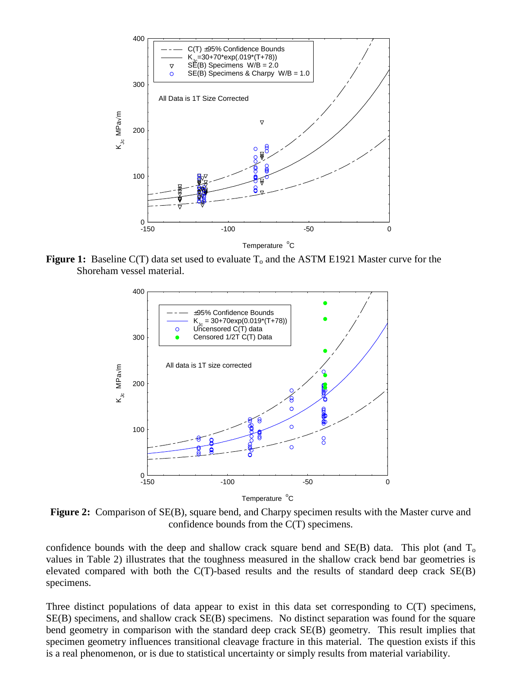

**Figure 1:** Baseline C(T) data set used to evaluate  $T_0$  and the ASTM E1921 Master curve for the Shoreham vessel material.



**Figure 2:** Comparison of SE(B), square bend, and Charpy specimen results with the Master curve and confidence bounds from the C(T) specimens.

confidence bounds with the deep and shallow crack square bend and  $SE(B)$  data. This plot (and  $T_0$ ) values in Table 2) illustrates that the toughness measured in the shallow crack bend bar geometries is elevated compared with both the C(T)-based results and the results of standard deep crack SE(B) specimens.

Three distinct populations of data appear to exist in this data set corresponding to C(T) specimens, SE(B) specimens, and shallow crack SE(B) specimens. No distinct separation was found for the square bend geometry in comparison with the standard deep crack SE(B) geometry. This result implies that specimen geometry influences transitional cleavage fracture in this material. The question exists if this is a real phenomenon, or is due to statistical uncertainty or simply results from material variability.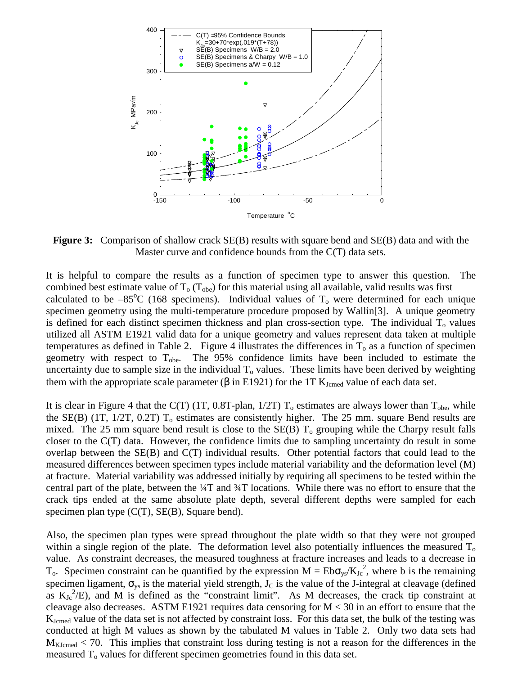

**Figure 3:** Comparison of shallow crack SE(B) results with square bend and SE(B) data and with the Master curve and confidence bounds from the C(T) data sets.

It is helpful to compare the results as a function of specimen type to answer this question. The combined best estimate value of  $T_0$  ( $T_{\text{obe}}$ ) for this material using all available, valid results was first calculated to be  $-85^{\circ}$ C (168 specimens). Individual values of T<sub>o</sub> were determined for each unique specimen geometry using the multi-temperature procedure proposed by Wallin[3]. A unique geometry is defined for each distinct specimen thickness and plan cross-section type. The individual  $T<sub>o</sub>$  values utilized all ASTM E1921 valid data for a unique geometry and values represent data taken at multiple temperatures as defined in Table 2. Figure 4 illustrates the differences in  $T_0$  as a function of specimen geometry with respect to  $T_{\text{obe}}$ . The 95% confidence limits have been included to estimate the uncertainty due to sample size in the individual  $T<sub>o</sub>$  values. These limits have been derived by weighting them with the appropriate scale parameter ( $\beta$  in E1921) for the 1T K<sub>Jcmed</sub> value of each data set.

It is clear in Figure 4 that the C(T) (1T, 0.8T-plan,  $1/2T$ ) T<sub>o</sub> estimates are always lower than T<sub>obe</sub>, while the SE(B) (1T,  $1/2T$ , 0.2T)  $T_0$  estimates are consistently higher. The 25 mm. square Bend results are mixed. The 25 mm square bend result is close to the  $SE(B)$  T<sub>o</sub> grouping while the Charpy result falls closer to the C(T) data. However, the confidence limits due to sampling uncertainty do result in some overlap between the SE(B) and C(T) individual results. Other potential factors that could lead to the measured differences between specimen types include material variability and the deformation level (M) at fracture. Material variability was addressed initially by requiring all specimens to be tested within the central part of the plate, between the  $\frac{1}{4}$  and  $\frac{3}{4}$  locations. While there was no effort to ensure that the crack tips ended at the same absolute plate depth, several different depths were sampled for each specimen plan type (C(T), SE(B), Square bend).

Also, the specimen plan types were spread throughout the plate width so that they were not grouped within a single region of the plate. The deformation level also potentially influences the measured  $T<sub>o</sub>$ value. As constraint decreases, the measured toughness at fracture increases and leads to a decrease in T<sub>o</sub>. Specimen constraint can be quantified by the expression  $M = Eb\sigma_{ys}/K_{Jc}^{2}$ , where b is the remaining specimen ligament,  $\sigma_{vs}$  is the material yield strength,  $J_C$  is the value of the J-integral at cleavage (defined as  $K_{Jc}^2/E$ ), and M is defined as the "constraint limit". As M decreases, the crack tip constraint at cleavage also decreases. ASTM E1921 requires data censoring for  $M < 30$  in an effort to ensure that the KJcmed value of the data set is not affected by constraint loss. For this data set, the bulk of the testing was conducted at high M values as shown by the tabulated M values in Table 2. Only two data sets had  $M_{\text{KJcmed}}$  < 70. This implies that constraint loss during testing is not a reason for the differences in the measured  $T<sub>o</sub>$  values for different specimen geometries found in this data set.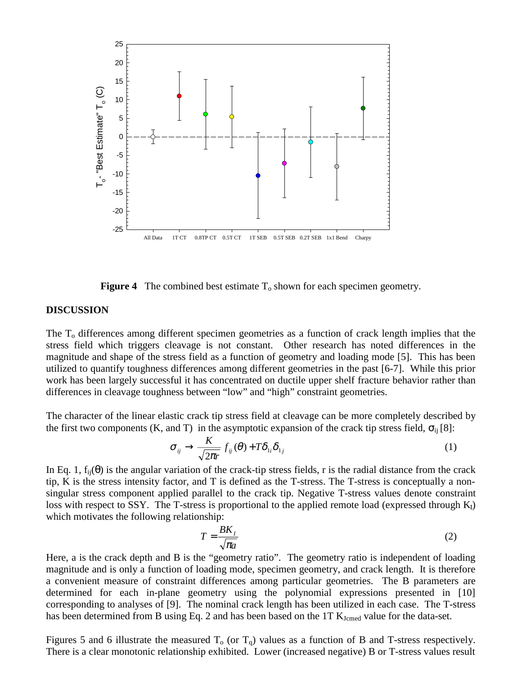

**Figure 4** The combined best estimate  $T_0$  shown for each specimen geometry.

#### **DISCUSSION**

The T<sub>o</sub> differences among different specimen geometries as a function of crack length implies that the stress field which triggers cleavage is not constant. Other research has noted differences in the magnitude and shape of the stress field as a function of geometry and loading mode [5]. This has been utilized to quantify toughness differences among different geometries in the past [6-7]. While this prior work has been largely successful it has concentrated on ductile upper shelf fracture behavior rather than differences in cleavage toughness between "low" and "high" constraint geometries.

The character of the linear elastic crack tip stress field at cleavage can be more completely described by the first two components (K, and T) in the asymptotic expansion of the crack tip stress field,  $\sigma_{ii}$  [8]:

$$
\sigma_{ij} \rightarrow \frac{K}{\sqrt{2\pi r}} f_{ij}(\theta) + T\delta_{1i}\delta_{1j}
$$
 (1)

In Eq. 1,  $f_{ii}(\theta)$  is the angular variation of the crack-tip stress fields, r is the radial distance from the crack tip, K is the stress intensity factor, and T is defined as the T-stress. The T-stress is conceptually a nonsingular stress component applied parallel to the crack tip. Negative T-stress values denote constraint loss with respect to SSY. The T-stress is proportional to the applied remote load (expressed through  $K_I$ ) which motivates the following relationship:

$$
T = \frac{BK_I}{\sqrt{\pi a}}
$$
 (2)

Here, a is the crack depth and B is the "geometry ratio". The geometry ratio is independent of loading magnitude and is only a function of loading mode, specimen geometry, and crack length. It is therefore a convenient measure of constraint differences among particular geometries. The B parameters are determined for each in-plane geometry using the polynomial expressions presented in [10] corresponding to analyses of [9]. The nominal crack length has been utilized in each case. The T-stress has been determined from B using Eq. 2 and has been based on the 1T K<sub>Jcmed</sub> value for the data-set.

Figures 5 and 6 illustrate the measured  $T_0$  (or  $T_0$ ) values as a function of B and T-stress respectively. There is a clear monotonic relationship exhibited. Lower (increased negative) B or T-stress values result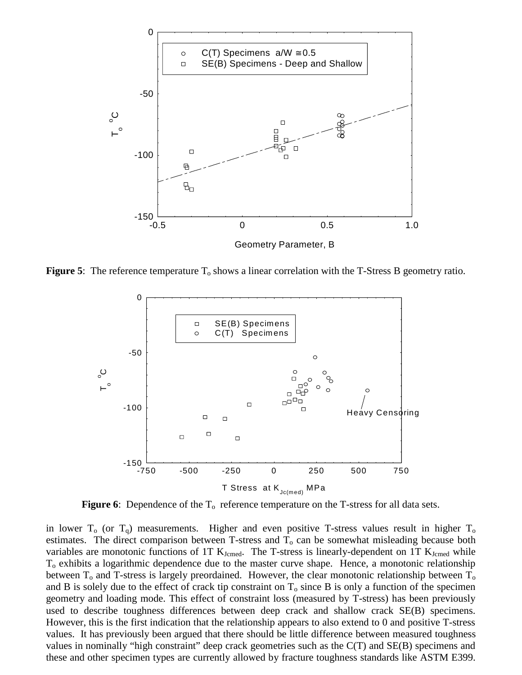

**Figure 5**: The reference temperature T<sub>o</sub> shows a linear correlation with the T-Stress B geometry ratio.



**Figure 6**: Dependence of the  $T_0$  reference temperature on the T-stress for all data sets.

in lower  $T_0$  (or  $T_0$ ) measurements. Higher and even positive T-stress values result in higher  $T_0$ estimates. The direct comparison between T-stress and  $T_0$  can be somewhat misleading because both variables are monotonic functions of 1T  $K_{Jcmed}$ . The T-stress is linearly-dependent on 1T  $K_{Jcmed}$  while  $T<sub>o</sub>$  exhibits a logarithmic dependence due to the master curve shape. Hence, a monotonic relationship between  $T_0$  and T-stress is largely preordained. However, the clear monotonic relationship between  $T_0$ and B is solely due to the effect of crack tip constraint on  $T_0$  since B is only a function of the specimen geometry and loading mode. This effect of constraint loss (measured by T-stress) has been previously used to describe toughness differences between deep crack and shallow crack SE(B) specimens. However, this is the first indication that the relationship appears to also extend to 0 and positive T-stress values. It has previously been argued that there should be little difference between measured toughness values in nominally "high constraint" deep crack geometries such as the C(T) and SE(B) specimens and these and other specimen types are currently allowed by fracture toughness standards like ASTM E399.